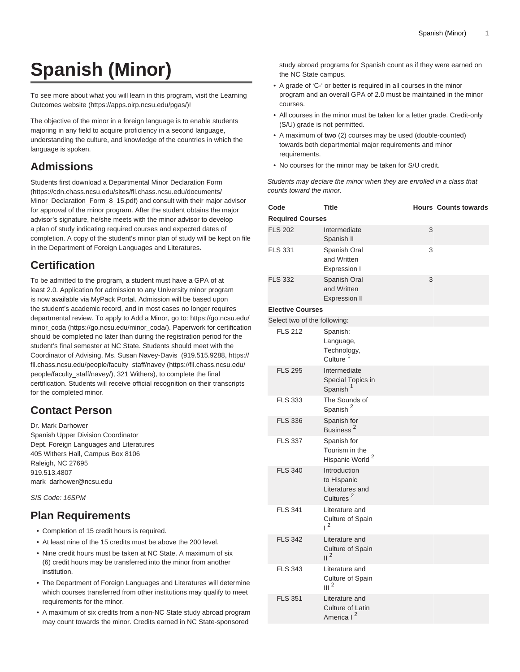# **Spanish (Minor)**

To see more about what you will learn in this program, visit the [Learning](https://apps.oirp.ncsu.edu/pgas/) [Outcomes website](https://apps.oirp.ncsu.edu/pgas/) (<https://apps.oirp.ncsu.edu/pgas/>)!

The objective of the minor in a foreign language is to enable students majoring in any field to acquire proficiency in a second language, understanding the culture, and knowledge of the countries in which the language is spoken.

#### **Admissions**

Students first download a [Departmental Minor Declaration Form](https://cdn.chass.ncsu.edu/sites/fll.chass.ncsu.edu/documents/Minor_Declaration_Form_8_15.pdf) ([https://cdn.chass.ncsu.edu/sites/fll.chass.ncsu.edu/documents/](https://cdn.chass.ncsu.edu/sites/fll.chass.ncsu.edu/documents/Minor_Declaration_Form_8_15.pdf) [Minor\\_Declaration\\_Form\\_8\\_15.pdf\)](https://cdn.chass.ncsu.edu/sites/fll.chass.ncsu.edu/documents/Minor_Declaration_Form_8_15.pdf) and consult with their major advisor for approval of the minor program. After the student obtains the major advisor's signature, he/she meets with the minor advisor to develop a plan of study indicating required courses and expected dates of completion. A copy of the student's minor plan of study will be kept on file in the Department of Foreign Languages and Literatures.

## **Certification**

To be admitted to the program, a student must have a GPA of at least 2.0. Application for admission to any University minor program is now available via MyPack Portal. Admission will be based upon the student's academic record, and in most cases no longer requires departmental review. To apply to Add a Minor, go to: [https://go.ncsu.edu/](https://go.ncsu.edu/minor_coda/) [minor\\_coda](https://go.ncsu.edu/minor_coda/) ([https://go.ncsu.edu/minor\\_coda/\)](https://go.ncsu.edu/minor_coda/). Paperwork for certification should be completed no later than during the registration period for the student's final semester at NC State. Students should meet with the Coordinator of Advising, Ms. Susan Navey-Davis (919.515.9288, [https://](https://fll.chass.ncsu.edu/people/faculty_staff/navey/) [fll.chass.ncsu.edu/people/faculty\\_staff/navey](https://fll.chass.ncsu.edu/people/faculty_staff/navey/) [\(https://fll.chass.ncsu.edu/](https://fll.chass.ncsu.edu/people/faculty_staff/navey/) [people/faculty\\_staff/navey/\)](https://fll.chass.ncsu.edu/people/faculty_staff/navey/), 321 Withers), to complete the final certification. Students will receive official recognition on their transcripts for the completed minor.

### **Contact Person**

Dr. Mark Darhower Spanish Upper Division Coordinator Dept. Foreign Languages and Literatures 405 Withers Hall, Campus Box 8106 Raleigh, NC 27695 919.513.4807 [mark\\_darhower@ncsu.edu](mailto:mark_darhower@ncsu.edu)

SIS Code: 16SPM

#### **Plan Requirements**

- Completion of 15 credit hours is required.
- At least nine of the 15 credits must be above the 200 level.
- Nine credit hours must be taken at NC State. A maximum of six (6) credit hours may be transferred into the minor from another institution.
- The Department of Foreign Languages and Literatures will determine which courses transferred from other institutions may qualify to meet requirements for the minor.
- A maximum of six credits from a non-NC State study abroad program may count towards the minor. Credits earned in NC State-sponsored

study abroad programs for Spanish count as if they were earned on the NC State campus.

- A grade of 'C-' or better is required in all courses in the minor program and an overall GPA of 2.0 must be maintained in the minor courses.
- All courses in the minor must be taken for a letter grade. Credit-only (S/U) grade is not permitted.
- A maximum of **two** (2) courses may be used (double-counted) towards both departmental major requirements and minor requirements.
- No courses for the minor may be taken for S/U credit.

Students may declare the minor when they are enrolled in a class that counts toward the minor.

| Code                         | <b>Title</b>                                                            |   | <b>Hours Counts towards</b> |
|------------------------------|-------------------------------------------------------------------------|---|-----------------------------|
| <b>Required Courses</b>      |                                                                         |   |                             |
| <b>FLS 202</b>               | Intermediate<br>Spanish II                                              | 3 |                             |
| <b>FLS 331</b>               | Spanish Oral<br>and Written<br>Expression I                             | 3 |                             |
| <b>FLS 332</b>               | Spanish Oral<br>and Written<br><b>Expression II</b>                     | 3 |                             |
| <b>Elective Courses</b>      |                                                                         |   |                             |
| Select two of the following: |                                                                         |   |                             |
| <b>FLS 212</b>               | Spanish:<br>Language,<br>Technology,<br>Culture <sup>1</sup>            |   |                             |
| <b>FLS 295</b>               | Intermediate<br>Special Topics in<br>Spanish <sup>1</sup>               |   |                             |
| <b>FLS 333</b>               | The Sounds of<br>Spanish <sup>2</sup>                                   |   |                             |
| <b>FLS 336</b>               | Spanish for<br>Business <sup>2</sup>                                    |   |                             |
| <b>FLS 337</b>               | Spanish for<br>Tourism in the<br>Hispanic World <sup>2</sup>            |   |                             |
| <b>FLS 340</b>               | Introduction<br>to Hispanic<br>Literatures and<br>Cultures <sup>2</sup> |   |                             |
| <b>FLS 341</b>               | Literature and<br>Culture of Spain<br>$1^2$                             |   |                             |
| <b>FLS 342</b>               | Literature and<br>Culture of Spain<br>$\mathsf{II}^2$                   |   |                             |
| <b>FLS 343</b>               | Literature and<br>Culture of Spain<br>III <sup>2</sup>                  |   |                             |
| <b>FLS 351</b>               | Literature and<br>Culture of Latin<br>America I <sup>2</sup>            |   |                             |